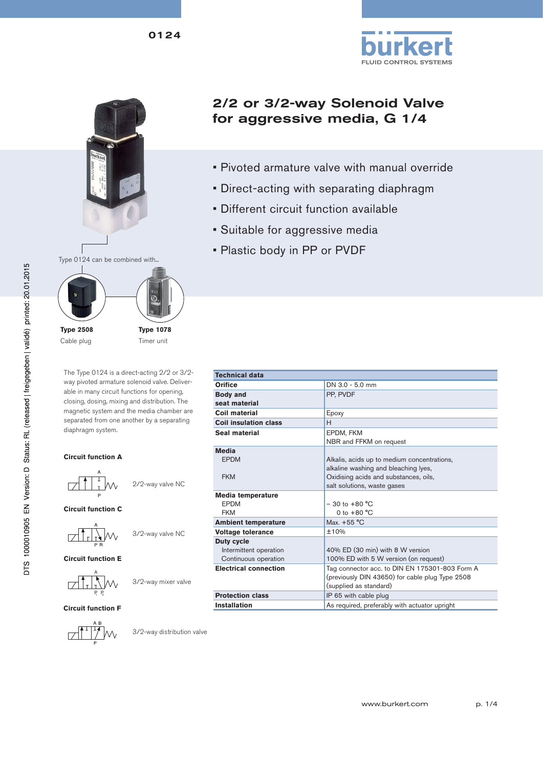







Cable plug

Timer unit

The Type 0124 is a direct-acting 2/2 or 3/2 way pivoted armature solenoid valve. Deliverable in many circuit functions for opening, closing, dosing, mixing and distribution. The magnetic system and the media chamber are separated from one another by a separating diaphragm system.

#### **Circuit function A**



**Circuit function C**

$$
\frac{A}{\sqrt{\frac{1}{I}}\prod_{P,B}\sqrt{\frac{1}{I}}}
$$
 3/2-way valve NC

**Circuit function E**



3/2-way mixer valve

**Circuit function F**

$$
\begin{array}{c}\nA & B \\
\hline\n\end{array}
$$

3/2-way distribution valve

# 2/2 or 3/2-way Solenoid Valve for aggressive media, G 1/4

- Pivoted armature valve with manual override
- Direct-acting with separating diaphragm
- Different circuit function available
- Suitable for aggressive media
- Plastic body in PP or PVDF

| <b>Technical data</b>        |                                                 |  |  |
|------------------------------|-------------------------------------------------|--|--|
|                              |                                                 |  |  |
| <b>Orifice</b>               | DN 3.0 - 5.0 mm                                 |  |  |
| <b>Body and</b>              | PP. PVDF                                        |  |  |
| seat material                |                                                 |  |  |
| Coil material                | Epoxy                                           |  |  |
| <b>Coil insulation class</b> | H                                               |  |  |
| Seal material                | EPDM, FKM                                       |  |  |
|                              | NBR and FFKM on request                         |  |  |
| <b>Media</b>                 |                                                 |  |  |
| <b>FPDM</b>                  | Alkalis, acids up to medium concentrations,     |  |  |
|                              | alkaline washing and bleaching lyes,            |  |  |
| <b>FKM</b>                   | Oxidising acids and substances, oils,           |  |  |
|                              | salt solutions, waste gases                     |  |  |
| Media temperature            |                                                 |  |  |
| <b>FPDM</b>                  | $-30$ to $+80$ °C                               |  |  |
| <b>FKM</b>                   | 0 to $+80 °C$                                   |  |  |
| <b>Ambient temperature</b>   | Max. $+55^{\circ}$ C                            |  |  |
| <b>Voltage tolerance</b>     | ±10%                                            |  |  |
| Duty cycle                   |                                                 |  |  |
| Intermittent operation       | 40% ED (30 min) with 8 W version                |  |  |
| Continuous operation         | 100% ED with 5 W version (on request)           |  |  |
| <b>Electrical connection</b> | Tag connector acc. to DIN EN 175301-803 Form A  |  |  |
|                              | (previously DIN 43650) for cable plug Type 2508 |  |  |
|                              | (supplied as standard)                          |  |  |
| <b>Protection class</b>      | IP 65 with cable plug                           |  |  |
| <b>Installation</b>          | As required, preferably with actuator upright   |  |  |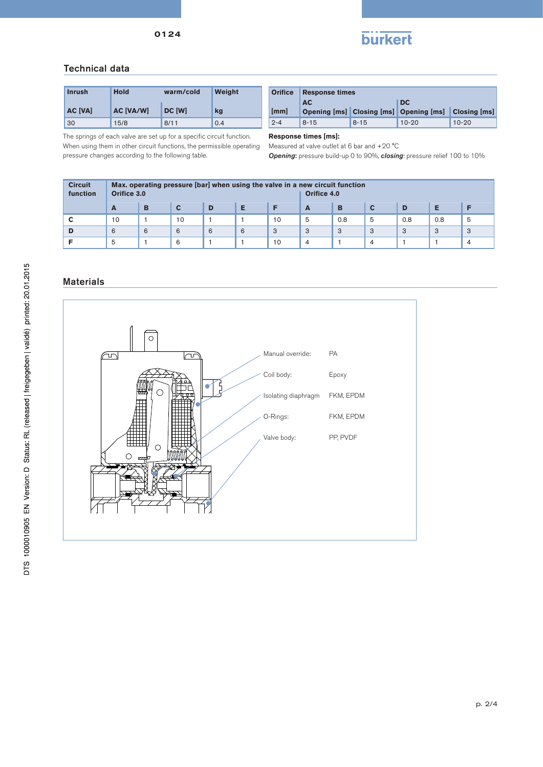



### Technical data

| <b>Inrush</b>  | <b>Hold</b><br>warm/cold |        | Weight |
|----------------|--------------------------|--------|--------|
| <b>AC [VA]</b> | <b>AC [VA/W]</b>         | DC [W] | kg     |
| 30             | 15/8                     | 8/11   | 0.4    |

The springs of each valve are set up for a specific circuit function. When using them in other circuit functions, the permissible operating pressure changes according to the following table.

| <b>Orifice</b> | <b>Response times</b>                               |          |                            |           |  |  |
|----------------|-----------------------------------------------------|----------|----------------------------|-----------|--|--|
| [mm]           | <b>AC</b><br>Opening [ms] Closing [ms] Opening [ms] |          | DC.<br><b>Closing [ms]</b> |           |  |  |
| $2 - 4$        | $8 - 15$                                            | $8 - 15$ | $10 - 20$                  | $10 - 20$ |  |  |

**Response times [ms]:** 

Measured at valve outlet at 6 bar and +20 °C

*Opening*: pressure build-up 0 to 90%, *closing*: pressure relief 100 to 10%

| <b>Circuit</b><br>function | Max. operating pressure [bar] when using the valve in a new circuit function<br>Orifice 3.0<br>Orifice 4.0 |   |    |   |   |    |   |     |   |     |     |   |
|----------------------------|------------------------------------------------------------------------------------------------------------|---|----|---|---|----|---|-----|---|-----|-----|---|
|                            | A                                                                                                          | B |    | D |   |    | A | в   |   | D   |     |   |
|                            | 10                                                                                                         |   | 10 |   |   | 10 | 5 | 0.8 | 5 | 0.8 | 0.8 | 5 |
|                            | 6                                                                                                          | 6 | 6  | 6 | 6 | 3  | 3 | 3   | 3 | 3   | 3   | 3 |
|                            | 5                                                                                                          |   | 6  |   |   | 10 | 4 |     | 4 |     |     | 4 |

### **Materials**

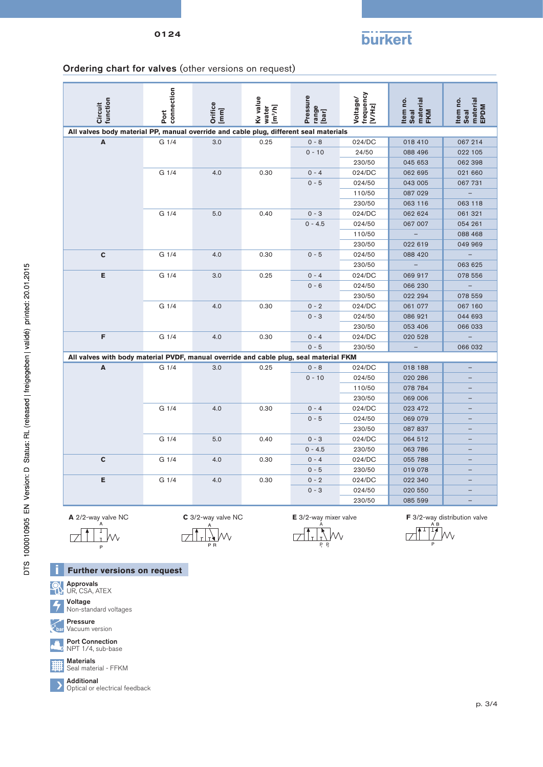# **burkert**

### Ordering chart for valves (other versions on request)

| connection<br>frequency<br>Pressure<br>Kv value<br>Voltage/<br>function<br>Item no.<br>material<br>FKM<br>Circuit<br><b>Orifice</b><br>[VMHz]<br>[m <sup>3</sup> /h]<br>range<br>[bar]<br>water<br>$[mm] % \begin{minipage}[b]{0.5\linewidth} \centering \includegraphics[width=\linewidth]{images/STN1000.pdf} \caption{The image shows the number of different models. The number of different models are shown in the left and right.} \label{fig:STN0000} \end{minipage} \vspace{0.05in} \label{fig:STN00000}$<br>Seal<br>Port | material<br>Item no.<br>EPDM<br>Seal |
|------------------------------------------------------------------------------------------------------------------------------------------------------------------------------------------------------------------------------------------------------------------------------------------------------------------------------------------------------------------------------------------------------------------------------------------------------------------------------------------------------------------------------------|--------------------------------------|
| All valves body material PP, manual override and cable plug, different seal materials                                                                                                                                                                                                                                                                                                                                                                                                                                              |                                      |
| 0.25<br>024/DC<br>A<br>G 1/4<br>3.0<br>$0 - 8$<br>018 410                                                                                                                                                                                                                                                                                                                                                                                                                                                                          | 067 214                              |
| $0 - 10$<br>24/50<br>088 496                                                                                                                                                                                                                                                                                                                                                                                                                                                                                                       | 022 105                              |
| 230/50<br>045 653                                                                                                                                                                                                                                                                                                                                                                                                                                                                                                                  | 062 398                              |
| G 1/4<br>4.0<br>0.30<br>$0 - 4$<br>024/DC<br>062 695                                                                                                                                                                                                                                                                                                                                                                                                                                                                               | 021 660                              |
| $0 - 5$<br>024/50<br>043 005                                                                                                                                                                                                                                                                                                                                                                                                                                                                                                       | 067 731                              |
| 110/50<br>087 029                                                                                                                                                                                                                                                                                                                                                                                                                                                                                                                  | $\overline{\phantom{0}}$             |
| 230/50<br>063 116                                                                                                                                                                                                                                                                                                                                                                                                                                                                                                                  | 063 118                              |
| G <sub>1/4</sub><br>5.0<br>0.40<br>$0 - 3$<br>024/DC<br>062 624                                                                                                                                                                                                                                                                                                                                                                                                                                                                    | 061 321                              |
| $0 - 4.5$<br>024/50<br>067 007                                                                                                                                                                                                                                                                                                                                                                                                                                                                                                     | 054 261                              |
| 110/50                                                                                                                                                                                                                                                                                                                                                                                                                                                                                                                             | 088 468                              |
| 230/50<br>022 619                                                                                                                                                                                                                                                                                                                                                                                                                                                                                                                  | 049 969                              |
| C<br>G <sub>1/4</sub><br>$0 - 5$<br>4.0<br>0.30<br>024/50<br>088 420                                                                                                                                                                                                                                                                                                                                                                                                                                                               | $\qquad \qquad -$                    |
| $\equiv$<br>230/50                                                                                                                                                                                                                                                                                                                                                                                                                                                                                                                 | 063 625                              |
| Е<br>G 1/4<br>3.0<br>0.25<br>$0 - 4$<br>024/DC<br>069 917                                                                                                                                                                                                                                                                                                                                                                                                                                                                          | 078 556                              |
| $0 - 6$<br>024/50<br>066 230                                                                                                                                                                                                                                                                                                                                                                                                                                                                                                       | $\equiv$                             |
| 230/50<br>022 294                                                                                                                                                                                                                                                                                                                                                                                                                                                                                                                  | 078 559                              |
| G 1/4<br>4.0<br>0.30<br>$0 - 2$<br>024/DC<br>061 077                                                                                                                                                                                                                                                                                                                                                                                                                                                                               | 067 160                              |
| $0 - 3$<br>024/50<br>086 921                                                                                                                                                                                                                                                                                                                                                                                                                                                                                                       | 044 693                              |
| 230/50<br>053 406                                                                                                                                                                                                                                                                                                                                                                                                                                                                                                                  | 066 033                              |
| F<br>$0 - 4$<br>G 1/4<br>4.0<br>0.30<br>024/DC<br>020 528                                                                                                                                                                                                                                                                                                                                                                                                                                                                          | $\equiv$                             |
| $0 - 5$<br>230/50                                                                                                                                                                                                                                                                                                                                                                                                                                                                                                                  | 066 032                              |
| All valves with body material PVDF, manual override and cable plug, seal material FKM                                                                                                                                                                                                                                                                                                                                                                                                                                              |                                      |
| A<br>G <sub>1/4</sub><br>3.0<br>0.25<br>$0 - 8$<br>024/DC<br>018 188                                                                                                                                                                                                                                                                                                                                                                                                                                                               | $-$                                  |
| $0 - 10$<br>024/50<br>020 286                                                                                                                                                                                                                                                                                                                                                                                                                                                                                                      |                                      |
| 110/50<br>078 784                                                                                                                                                                                                                                                                                                                                                                                                                                                                                                                  | $\overline{\phantom{0}}$             |
| 230/50<br>069 006                                                                                                                                                                                                                                                                                                                                                                                                                                                                                                                  | $-$                                  |
| G 1/4<br>4.0<br>0.30<br>$0 - 4$<br>024/DC<br>023 472                                                                                                                                                                                                                                                                                                                                                                                                                                                                               |                                      |
| $0 - 5$<br>024/50<br>069 079                                                                                                                                                                                                                                                                                                                                                                                                                                                                                                       |                                      |
| 230/50<br>087 837                                                                                                                                                                                                                                                                                                                                                                                                                                                                                                                  | -                                    |
| G 1/4<br>5.0<br>0.40<br>$0 - 3$<br>024/DC<br>064 512                                                                                                                                                                                                                                                                                                                                                                                                                                                                               | $\overline{a}$                       |
| $0 - 4.5$<br>230/50<br>063 786                                                                                                                                                                                                                                                                                                                                                                                                                                                                                                     | $\overline{\phantom{0}}$             |
| $\mathbf c$<br>G 1/4<br>$0 - 4$<br>024/DC<br>055 788<br>4.0<br>0.30                                                                                                                                                                                                                                                                                                                                                                                                                                                                |                                      |
| $0 - 5$<br>230/50<br>019 078                                                                                                                                                                                                                                                                                                                                                                                                                                                                                                       |                                      |
| E<br>G 1/4<br>0.30<br>$0 - 2$<br>024/DC<br>022 340<br>4.0                                                                                                                                                                                                                                                                                                                                                                                                                                                                          |                                      |
| $0 - 3$<br>024/50<br>020 550                                                                                                                                                                                                                                                                                                                                                                                                                                                                                                       |                                      |
| 230/50<br>085 599                                                                                                                                                                                                                                                                                                                                                                                                                                                                                                                  | -                                    |

I

 $\overline{a}$ 

 $\Box$ 

 $\mathcal{N}$ 

Ŵ,  $\Box$ 

A  $\dot{\mathcal{N}}$ 

 $\sqrt{ }$ 

 $P_{2}$ 

**A** 2/2-way valve NC **C** 3/2-way valve NC **E** 3/2-way mixer valve **F** 3/2-way distribution valve ↴  $\Box$ 

**Further versions on request**